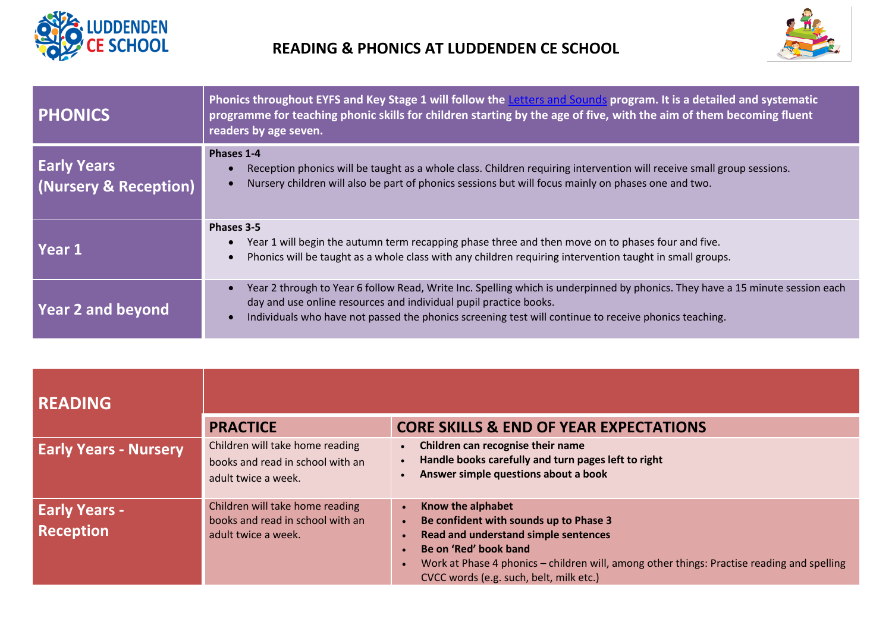



| <b>PHONICS</b>                              | Phonics throughout EYFS and Key Stage 1 will follow the Letters and Sounds program. It is a detailed and systematic<br>programme for teaching phonic skills for children starting by the age of five, with the aim of them becoming fluent<br>readers by age seven.                                         |  |  |
|---------------------------------------------|-------------------------------------------------------------------------------------------------------------------------------------------------------------------------------------------------------------------------------------------------------------------------------------------------------------|--|--|
| <b>Early Years</b><br>(Nursery & Reception) | Phases 1-4<br>Reception phonics will be taught as a whole class. Children requiring intervention will receive small group sessions.<br>Nursery children will also be part of phonics sessions but will focus mainly on phases one and two.                                                                  |  |  |
| Year 1                                      | Phases 3-5<br>Year 1 will begin the autumn term recapping phase three and then move on to phases four and five.<br>Phonics will be taught as a whole class with any children requiring intervention taught in small groups.                                                                                 |  |  |
| <b>Year 2 and beyond</b>                    | Year 2 through to Year 6 follow Read, Write Inc. Spelling which is underpinned by phonics. They have a 15 minute session each<br>day and use online resources and individual pupil practice books.<br>Individuals who have not passed the phonics screening test will continue to receive phonics teaching. |  |  |

| <b>READING</b>                           |                                                                                            |                                                                                                                                                                                                                                                                                    |
|------------------------------------------|--------------------------------------------------------------------------------------------|------------------------------------------------------------------------------------------------------------------------------------------------------------------------------------------------------------------------------------------------------------------------------------|
|                                          | <b>PRACTICE</b>                                                                            | <b>CORE SKILLS &amp; END OF YEAR EXPECTATIONS</b>                                                                                                                                                                                                                                  |
| <b>Early Years - Nursery</b>             | Children will take home reading<br>books and read in school with an<br>adult twice a week. | Children can recognise their name<br>$\bullet$<br>Handle books carefully and turn pages left to right<br>$\bullet$<br>Answer simple questions about a book                                                                                                                         |
| <b>Early Years -</b><br><b>Reception</b> | Children will take home reading<br>books and read in school with an<br>adult twice a week. | Know the alphabet<br>$\bullet$<br>Be confident with sounds up to Phase 3<br>Read and understand simple sentences<br>Be on 'Red' book band<br>Work at Phase 4 phonics - children will, among other things: Practise reading and spelling<br>CVCC words (e.g. such, belt, milk etc.) |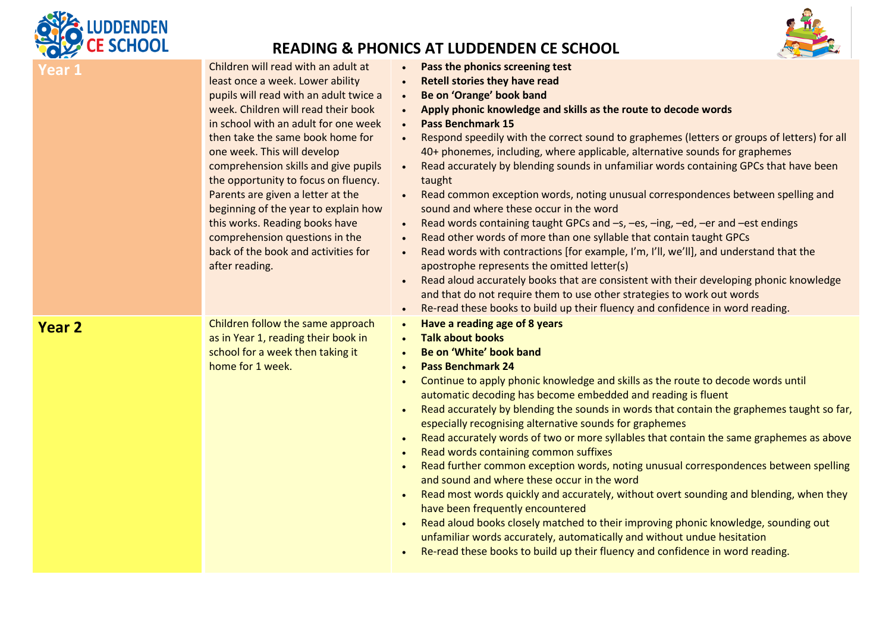

## **READING & PHONICS AT LUDDENDEN CE SCHOOL**



| Year 1 | Children will read with an adult at<br>least once a week. Lower ability<br>pupils will read with an adult twice a<br>week. Children will read their book<br>in school with an adult for one week<br>then take the same book home for<br>one week. This will develop<br>comprehension skills and give pupils<br>the opportunity to focus on fluency.<br>Parents are given a letter at the<br>beginning of the year to explain how<br>this works. Reading books have<br>comprehension questions in the<br>back of the book and activities for<br>after reading. | Pass the phonics screening test<br><b>Retell stories they have read</b><br>$\bullet$<br>Be on 'Orange' book band<br>$\bullet$<br>Apply phonic knowledge and skills as the route to decode words<br><b>Pass Benchmark 15</b><br>Respond speedily with the correct sound to graphemes (letters or groups of letters) for all<br>$\bullet$<br>40+ phonemes, including, where applicable, alternative sounds for graphemes<br>Read accurately by blending sounds in unfamiliar words containing GPCs that have been<br>taught<br>Read common exception words, noting unusual correspondences between spelling and<br>sound and where these occur in the word<br>Read words containing taught GPCs and -s, -es, -ing, -ed, -er and -est endings<br>$\bullet$<br>Read other words of more than one syllable that contain taught GPCs<br>$\bullet$<br>Read words with contractions [for example, I'm, I'll, we'll], and understand that the<br>$\bullet$<br>apostrophe represents the omitted letter(s)<br>Read aloud accurately books that are consistent with their developing phonic knowledge<br>and that do not require them to use other strategies to work out words<br>Re-read these books to build up their fluency and confidence in word reading. |
|--------|---------------------------------------------------------------------------------------------------------------------------------------------------------------------------------------------------------------------------------------------------------------------------------------------------------------------------------------------------------------------------------------------------------------------------------------------------------------------------------------------------------------------------------------------------------------|-------------------------------------------------------------------------------------------------------------------------------------------------------------------------------------------------------------------------------------------------------------------------------------------------------------------------------------------------------------------------------------------------------------------------------------------------------------------------------------------------------------------------------------------------------------------------------------------------------------------------------------------------------------------------------------------------------------------------------------------------------------------------------------------------------------------------------------------------------------------------------------------------------------------------------------------------------------------------------------------------------------------------------------------------------------------------------------------------------------------------------------------------------------------------------------------------------------------------------------------------------|
| Year 2 | Children follow the same approach<br>as in Year 1, reading their book in<br>school for a week then taking it<br>home for 1 week.                                                                                                                                                                                                                                                                                                                                                                                                                              | Have a reading age of 8 years<br>$\bullet$<br><b>Talk about books</b><br>Be on 'White' book band<br><b>Pass Benchmark 24</b><br>Continue to apply phonic knowledge and skills as the route to decode words until<br>automatic decoding has become embedded and reading is fluent<br>Read accurately by blending the sounds in words that contain the graphemes taught so far,<br>especially recognising alternative sounds for graphemes<br>Read accurately words of two or more syllables that contain the same graphemes as above<br>$\bullet$<br>Read words containing common suffixes<br>Read further common exception words, noting unusual correspondences between spelling<br>and sound and where these occur in the word<br>Read most words quickly and accurately, without overt sounding and blending, when they<br>have been frequently encountered<br>Read aloud books closely matched to their improving phonic knowledge, sounding out<br>unfamiliar words accurately, automatically and without undue hesitation<br>Re-read these books to build up their fluency and confidence in word reading.                                                                                                                                      |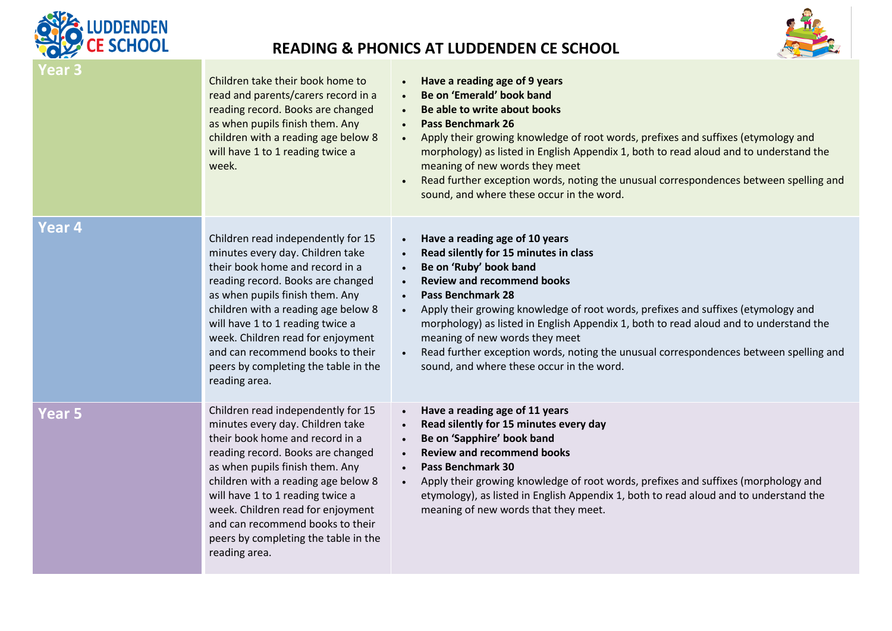

## **READING & PHONICS AT LUDDENDEN CE SCHOOL**



| Year 3            | Children take their book home to<br>read and parents/carers record in a<br>reading record. Books are changed<br>as when pupils finish them. Any<br>children with a reading age below 8<br>will have 1 to 1 reading twice a<br>week.                                                                                                                                                            | Have a reading age of 9 years<br>Be on 'Emerald' book band<br>$\bullet$<br>Be able to write about books<br>$\bullet$<br><b>Pass Benchmark 26</b><br>$\bullet$<br>Apply their growing knowledge of root words, prefixes and suffixes (etymology and<br>morphology) as listed in English Appendix 1, both to read aloud and to understand the<br>meaning of new words they meet<br>Read further exception words, noting the unusual correspondences between spelling and<br>sound, and where these occur in the word.                                |
|-------------------|------------------------------------------------------------------------------------------------------------------------------------------------------------------------------------------------------------------------------------------------------------------------------------------------------------------------------------------------------------------------------------------------|----------------------------------------------------------------------------------------------------------------------------------------------------------------------------------------------------------------------------------------------------------------------------------------------------------------------------------------------------------------------------------------------------------------------------------------------------------------------------------------------------------------------------------------------------|
| Year <sub>4</sub> | Children read independently for 15<br>minutes every day. Children take<br>their book home and record in a<br>reading record. Books are changed<br>as when pupils finish them. Any<br>children with a reading age below 8<br>will have 1 to 1 reading twice a<br>week. Children read for enjoyment<br>and can recommend books to their<br>peers by completing the table in the<br>reading area. | Have a reading age of 10 years<br>$\bullet$<br>Read silently for 15 minutes in class<br>Be on 'Ruby' book band<br><b>Review and recommend books</b><br><b>Pass Benchmark 28</b><br>$\bullet$<br>Apply their growing knowledge of root words, prefixes and suffixes (etymology and<br>morphology) as listed in English Appendix 1, both to read aloud and to understand the<br>meaning of new words they meet<br>Read further exception words, noting the unusual correspondences between spelling and<br>sound, and where these occur in the word. |
| <b>Year 5</b>     | Children read independently for 15<br>minutes every day. Children take<br>their book home and record in a<br>reading record. Books are changed<br>as when pupils finish them. Any<br>children with a reading age below 8<br>will have 1 to 1 reading twice a<br>week. Children read for enjoyment<br>and can recommend books to their<br>peers by completing the table in the<br>reading area. | Have a reading age of 11 years<br>Read silently for 15 minutes every day<br>Be on 'Sapphire' book band<br>$\bullet$<br><b>Review and recommend books</b><br>$\bullet$<br><b>Pass Benchmark 30</b><br>$\bullet$<br>Apply their growing knowledge of root words, prefixes and suffixes (morphology and<br>$\bullet$<br>etymology), as listed in English Appendix 1, both to read aloud and to understand the<br>meaning of new words that they meet.                                                                                                 |